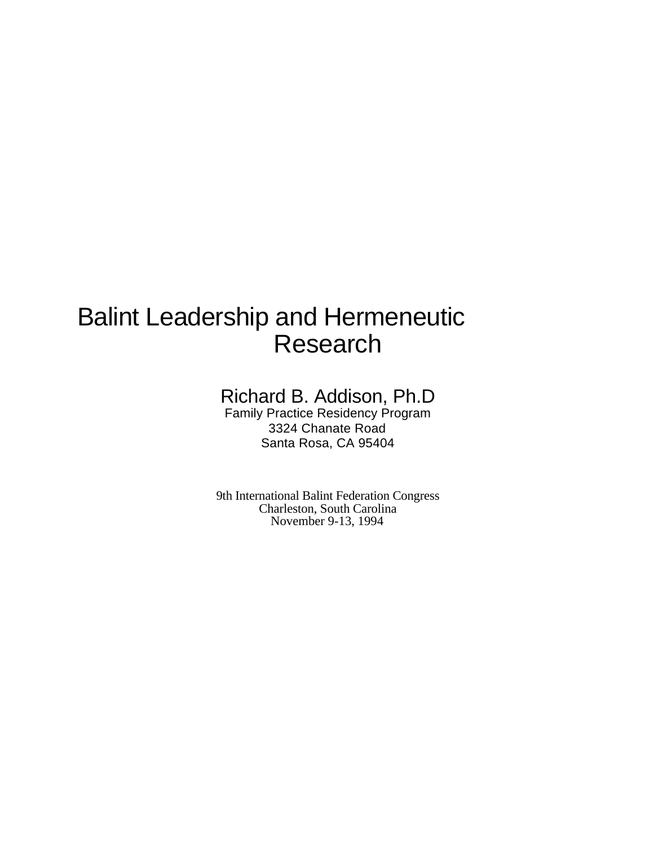# Balint Leadership and Hermeneutic Research

## Richard B. Addison, Ph.D

Family Practice Residency Program 3324 Chanate Road Santa Rosa, CA 95404

9th International Balint Federation Congress Charleston, South Carolina November 9-13, 1994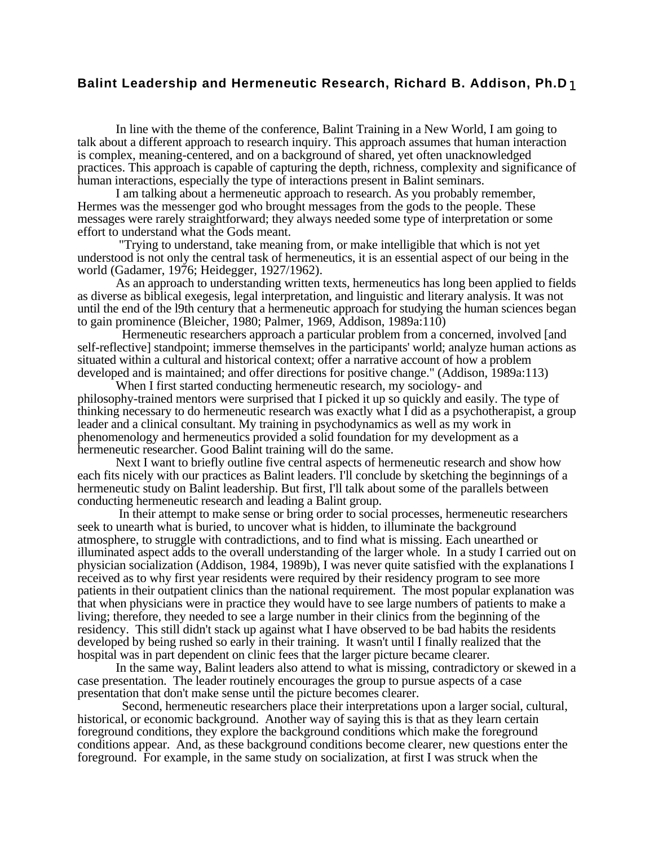In line with the theme of the conference, Balint Training in a New World, I am going to talk about a different approach to research inquiry. This approach assumes that human interaction is complex, meaning-centered, and on a background of shared, yet often unacknowledged practices. This approach is capable of capturing the depth, richness, complexity and significance of human interactions, especially the type of interactions present in Balint seminars.

I am talking about a hermeneutic approach to research. As you probably remember, Hermes was the messenger god who brought messages from the gods to the people. These messages were rarely straightforward; they always needed some type of interpretation or some effort to understand what the Gods meant.

 "Trying to understand, take meaning from, or make intelligible that which is not yet understood is not only the central task of hermeneutics, it is an essential aspect of our being in the world (Gadamer, 1976; Heidegger, 1927/1962).

As an approach to understanding written texts, hermeneutics has long been applied to fields as diverse as biblical exegesis, legal interpretation, and linguistic and literary analysis. It was not until the end of the l9th century that a hermeneutic approach for studying the human sciences began to gain prominence (Bleicher, 1980; Palmer, 1969, Addison, 1989a:110)

 Hermeneutic researchers approach a particular problem from a concerned, involved [and self-reflective] standpoint; immerse themselves in the participants' world; analyze human actions as situated within a cultural and historical context; offer a narrative account of how a problem developed and is maintained; and offer directions for positive change." (Addison, 1989a:113)

When I first started conducting hermeneutic research, my sociology- and philosophy-trained mentors were surprised that I picked it up so quickly and easily. The type of thinking necessary to do hermeneutic research was exactly what I did as a psychotherapist, a group leader and a clinical consultant. My training in psychodynamics as well as my work in phenomenology and hermeneutics provided a solid foundation for my development as a hermeneutic researcher. Good Balint training will do the same.

Next I want to briefly outline five central aspects of hermeneutic research and show how each fits nicely with our practices as Balint leaders. I'll conclude by sketching the beginnings of a hermeneutic study on Balint leadership. But first, I'll talk about some of the parallels between conducting hermeneutic research and leading a Balint group.

 In their attempt to make sense or bring order to social processes, hermeneutic researchers seek to unearth what is buried, to uncover what is hidden, to illuminate the background atmosphere, to struggle with contradictions, and to find what is missing. Each unearthed or illuminated aspect adds to the overall understanding of the larger whole. In a study I carried out on physician socialization (Addison, 1984, 1989b), I was never quite satisfied with the explanations I received as to why first year residents were required by their residency program to see more patients in their outpatient clinics than the national requirement. The most popular explanation was that when physicians were in practice they would have to see large numbers of patients to make a living; therefore, they needed to see a large number in their clinics from the beginning of the residency. This still didn't stack up against what I have observed to be bad habits the residents developed by being rushed so early in their training. It wasn't until I finally realized that the hospital was in part dependent on clinic fees that the larger picture became clearer.

In the same way, Balint leaders also attend to what is missing, contradictory or skewed in a case presentation. The leader routinely encourages the group to pursue aspects of a case presentation that don't make sense until the picture becomes clearer.

 Second, hermeneutic researchers place their interpretations upon a larger social, cultural, historical, or economic background. Another way of saying this is that as they learn certain foreground conditions, they explore the background conditions which make the foreground conditions appear. And, as these background conditions become clearer, new questions enter the foreground. For example, in the same study on socialization, at first I was struck when the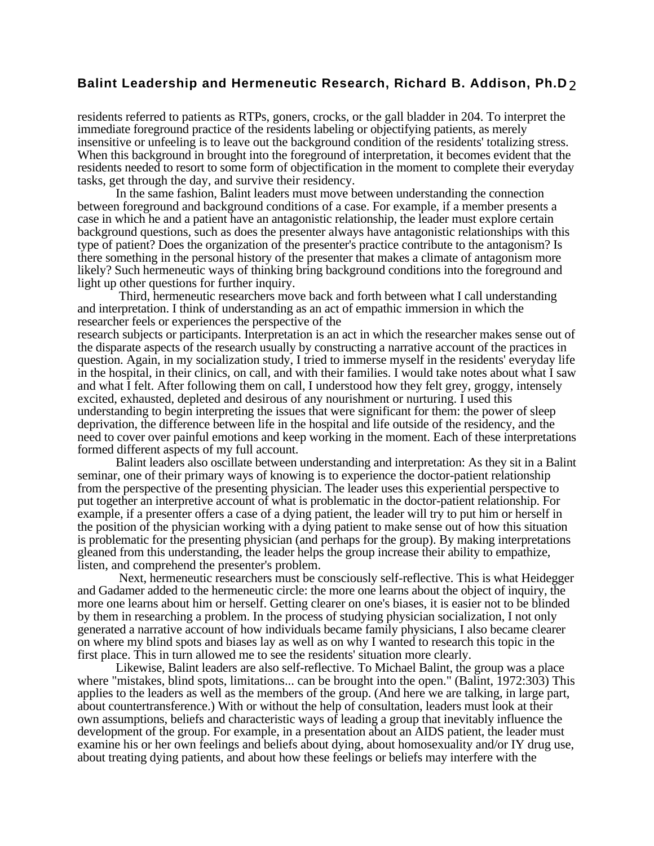residents referred to patients as RTPs, goners, crocks, or the gall bladder in 204. To interpret the immediate foreground practice of the residents labeling or objectifying patients, as merely insensitive or unfeeling is to leave out the background condition of the residents' totalizing stress. When this background in brought into the foreground of interpretation, it becomes evident that the residents needed to resort to some form of objectification in the moment to complete their everyday tasks, get through the day, and survive their residency.

In the same fashion, Balint leaders must move between understanding the connection between foreground and background conditions of a case. For example, if a member presents a case in which he and a patient have an antagonistic relationship, the leader must explore certain background questions, such as does the presenter always have antagonistic relationships with this type of patient? Does the organization of the presenter's practice contribute to the antagonism? Is there something in the personal history of the presenter that makes a climate of antagonism more likely? Such hermeneutic ways of thinking bring background conditions into the foreground and light up other questions for further inquiry.

 Third, hermeneutic researchers move back and forth between what I call understanding and interpretation. I think of understanding as an act of empathic immersion in which the researcher feels or experiences the perspective of the

research subjects or participants. Interpretation is an act in which the researcher makes sense out of the disparate aspects of the research usually by constructing a narrative account of the practices in question. Again, in my socialization study, I tried to immerse myself in the residents' everyday life in the hospital, in their clinics, on call, and with their families. I would take notes about what I saw and what I felt. After following them on call, I understood how they felt grey, groggy, intensely excited, exhausted, depleted and desirous of any nourishment or nurturing. I used this understanding to begin interpreting the issues that were significant for them: the power of sleep deprivation, the difference between life in the hospital and life outside of the residency, and the need to cover over painful emotions and keep working in the moment. Each of these interpretations formed different aspects of my full account.

Balint leaders also oscillate between understanding and interpretation: As they sit in a Balint seminar, one of their primary ways of knowing is to experience the doctor-patient relationship from the perspective of the presenting physician. The leader uses this experiential perspective to put together an interpretive account of what is problematic in the doctor-patient relationship. For example, if a presenter offers a case of a dying patient, the leader will try to put him or herself in the position of the physician working with a dying patient to make sense out of how this situation is problematic for the presenting physician (and perhaps for the group). By making interpretations gleaned from this understanding, the leader helps the group increase their ability to empathize, listen, and comprehend the presenter's problem.

 Next, hermeneutic researchers must be consciously self-reflective. This is what Heidegger and Gadamer added to the hermeneutic circle: the more one learns about the object of inquiry, the more one learns about him or herself. Getting clearer on one's biases, it is easier not to be blinded by them in researching a problem. In the process of studying physician socialization, I not only generated a narrative account of how individuals became family physicians, I also became clearer on where my blind spots and biases lay as well as on why I wanted to research this topic in the first place. This in turn allowed me to see the residents' situation more clearly.

Likewise, Balint leaders are also self-reflective. To Michael Balint, the group was a place where "mistakes, blind spots, limitations... can be brought into the open." (Balint, 1972:303) This applies to the leaders as well as the members of the group. (And here we are talking, in large part, about countertransference.) With or without the help of consultation, leaders must look at their own assumptions, beliefs and characteristic ways of leading a group that inevitably influence the development of the group. For example, in a presentation about an AIDS patient, the leader must examine his or her own feelings and beliefs about dying, about homosexuality and/or IY drug use, about treating dying patients, and about how these feelings or beliefs may interfere with the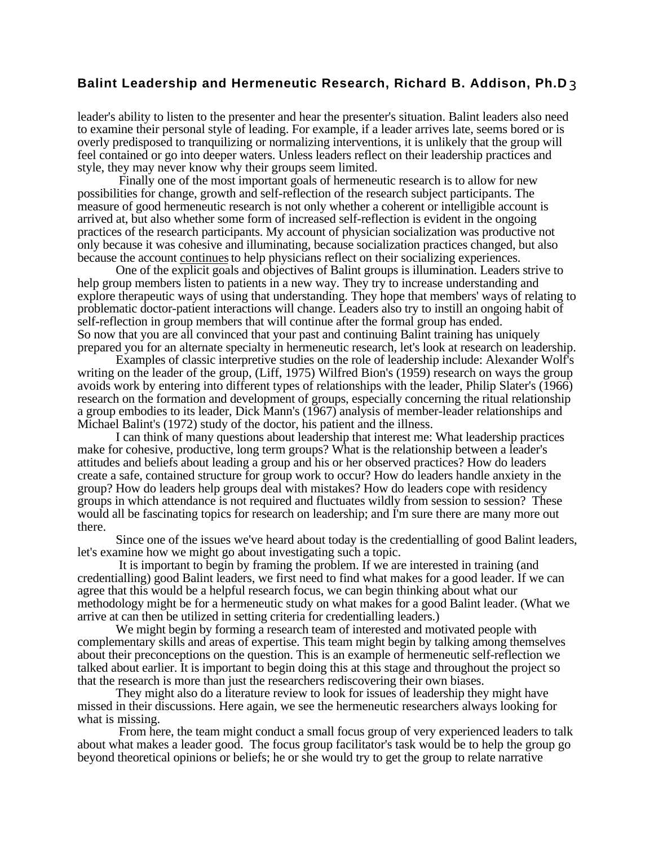leader's ability to listen to the presenter and hear the presenter's situation. Balint leaders also need to examine their personal style of leading. For example, if a leader arrives late, seems bored or is overly predisposed to tranquilizing or normalizing interventions, it is unlikely that the group will feel contained or go into deeper waters. Unless leaders reflect on their leadership practices and style, they may never know why their groups seem limited.

 Finally one of the most important goals of hermeneutic research is to allow for new possibilities for change, growth and self-reflection of the research subject participants. The measure of good hermeneutic research is not only whether a coherent or intelligible account is arrived at, but also whether some form of increased self-reflection is evident in the ongoing practices of the research participants. My account of physician socialization was productive not only because it was cohesive and illuminating, because socialization practices changed, but also because the account continues to help physicians reflect on their socializing experiences.

One of the explicit goals and objectives of Balint groups is illumination. Leaders strive to help group members listen to patients in a new way. They try to increase understanding and explore therapeutic ways of using that understanding. They hope that members' ways of relating to problematic doctor-patient interactions will change. Leaders also try to instill an ongoing habit of self-reflection in group members that will continue after the formal group has ended. So now that you are all convinced that your past and continuing Balint training has uniquely prepared you for an alternate specialty in hermeneutic research, let's look at research on leadership.

Examples of classic interpretive studies on the role of leadership include: Alexander Wolf's writing on the leader of the group, (Liff, 1975) Wilfred Bion's (1959) research on ways the group avoids work by entering into different types of relationships with the leader, Philip Slater's (1966) research on the formation and development of groups, especially concerning the ritual relationship a group embodies to its leader, Dick Mann's (1967) analysis of member-leader relationships and Michael Balint's (1972) study of the doctor, his patient and the illness.

I can think of many questions about leadership that interest me: What leadership practices make for cohesive, productive, long term groups? What is the relationship between a leader's attitudes and beliefs about leading a group and his or her observed practices? How do leaders create a safe, contained structure for group work to occur? How do leaders handle anxiety in the group? How do leaders help groups deal with mistakes? How do leaders cope with residency groups in which attendance is not required and fluctuates wildly from session to session? These would all be fascinating topics for research on leadership; and I'm sure there are many more out there.

Since one of the issues we've heard about today is the credentialling of good Balint leaders, let's examine how we might go about investigating such a topic.

 It is important to begin by framing the problem. If we are interested in training (and credentialling) good Balint leaders, we first need to find what makes for a good leader. If we can agree that this would be a helpful research focus, we can begin thinking about what our methodology might be for a hermeneutic study on what makes for a good Balint leader. (What we arrive at can then be utilized in setting criteria for credentialling leaders.)

We might begin by forming a research team of interested and motivated people with complementary skills and areas of expertise. This team might begin by talking among themselves about their preconceptions on the question. This is an example of hermeneutic self-reflection we talked about earlier. It is important to begin doing this at this stage and throughout the project so that the research is more than just the researchers rediscovering their own biases.

They might also do a literature review to look for issues of leadership they might have missed in their discussions. Here again, we see the hermeneutic researchers always looking for what is missing.

 From here, the team might conduct a small focus group of very experienced leaders to talk about what makes a leader good. The focus group facilitator's task would be to help the group go beyond theoretical opinions or beliefs; he or she would try to get the group to relate narrative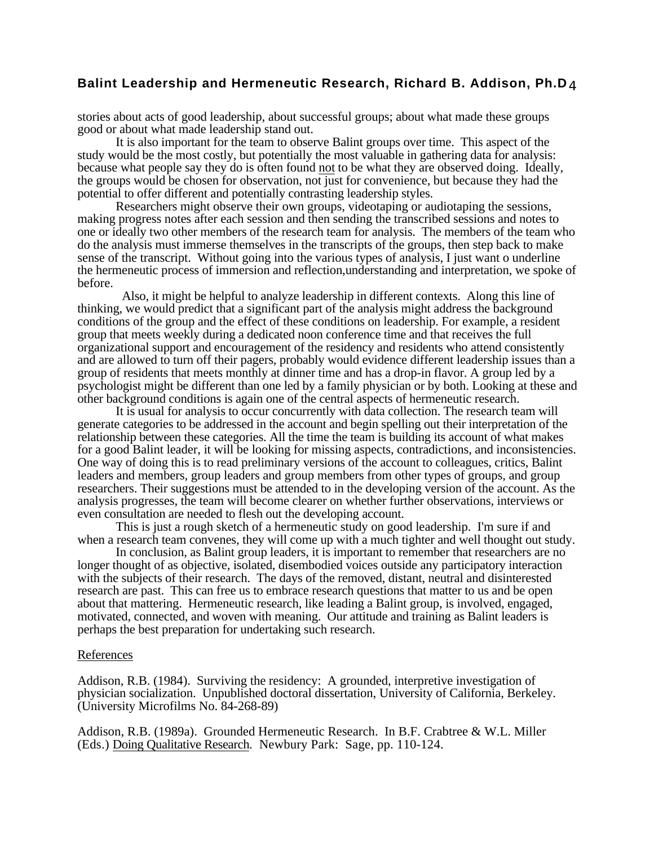stories about acts of good leadership, about successful groups; about what made these groups good or about what made leadership stand out.

It is also important for the team to observe Balint groups over time. This aspect of the study would be the most costly, but potentially the most valuable in gathering data for analysis: because what people say they do is often found not to be what they are observed doing. Ideally, the groups would be chosen for observation, not just for convenience, but because they had the potential to offer different and potentially contrasting leadership styles.

Researchers might observe their own groups, videotaping or audiotaping the sessions, making progress notes after each session and then sending the transcribed sessions and notes to one or ideally two other members of the research team for analysis. The members of the team who do the analysis must immerse themselves in the transcripts of the groups, then step back to make sense of the transcript. Without going into the various types of analysis, I just want o underline the hermeneutic process of immersion and reflection,understanding and interpretation, we spoke of before.

 Also, it might be helpful to analyze leadership in different contexts. Along this line of thinking, we would predict that a significant part of the analysis might address the background conditions of the group and the effect of these conditions on leadership. For example, a resident group that meets weekly during a dedicated noon conference time and that receives the full organizational support and encouragement of the residency and residents who attend consistently and are allowed to turn off their pagers, probably would evidence different leadership issues than a group of residents that meets monthly at dinner time and has a drop-in flavor. A group led by a psychologist might be different than one led by a family physician or by both. Looking at these and other background conditions is again one of the central aspects of hermeneutic research.

It is usual for analysis to occur concurrently with data collection. The research team will generate categories to be addressed in the account and begin spelling out their interpretation of the relationship between these categories. All the time the team is building its account of what makes for a good Balint leader, it will be looking for missing aspects, contradictions, and inconsistencies. One way of doing this is to read preliminary versions of the account to colleagues, critics, Balint leaders and members, group leaders and group members from other types of groups, and group researchers. Their suggestions must be attended to in the developing version of the account. As the analysis progresses, the team will become clearer on whether further observations, interviews or even consultation are needed to flesh out the developing account.

This is just a rough sketch of a hermeneutic study on good leadership. I'm sure if and when a research team convenes, they will come up with a much tighter and well thought out study.

In conclusion, as Balint group leaders, it is important to remember that researchers are no longer thought of as objective, isolated, disembodied voices outside any participatory interaction with the subjects of their research. The days of the removed, distant, neutral and disinterested research are past. This can free us to embrace research questions that matter to us and be open about that mattering. Hermeneutic research, like leading a Balint group, is involved, engaged, motivated, connected, and woven with meaning. Our attitude and training as Balint leaders is perhaps the best preparation for undertaking such research.

#### References

Addison, R.B. (1984). Surviving the residency: A grounded, interpretive investigation of physician socialization. Unpublished doctoral dissertation, University of California, Berkeley. (University Microfilms No. 84-268-89)

Addison, R.B. (1989a). Grounded Hermeneutic Research. In B.F. Crabtree & W.L. Miller (Eds.) Doing Qualitative Research. Newbury Park: Sage, pp. 110-124.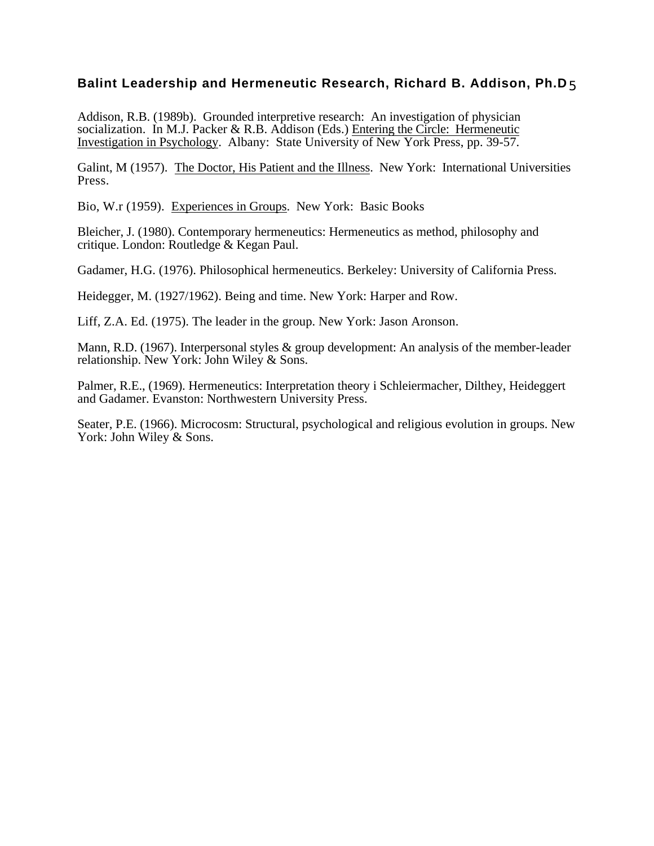Addison, R.B. (1989b). Grounded interpretive research: An investigation of physician socialization. In M.J. Packer & R.B. Addison (Eds.) Entering the Circle: Hermeneutic Investigation in Psychology. Albany: State University of New York Press, pp. 39-57.

Galint, M (1957). The Doctor, His Patient and the Illness. New York: International Universities Press.

Bio, W.r (1959). Experiences in Groups. New York: Basic Books

Bleicher, J. (1980). Contemporary hermeneutics: Hermeneutics as method, philosophy and critique. London: Routledge & Kegan Paul.

Gadamer, H.G. (1976). Philosophical hermeneutics. Berkeley: University of California Press.

Heidegger, M. (1927/1962). Being and time. New York: Harper and Row.

Liff, Z.A. Ed. (1975). The leader in the group. New York: Jason Aronson.

Mann, R.D. (1967). Interpersonal styles & group development: An analysis of the member-leader relationship. New York: John Wiley & Sons.

Palmer, R.E., (1969). Hermeneutics: Interpretation theory i Schleiermacher, Dilthey, Heideggert and Gadamer. Evanston: Northwestern University Press.

Seater, P.E. (1966). Microcosm: Structural, psychological and religious evolution in groups. New York: John Wiley & Sons.